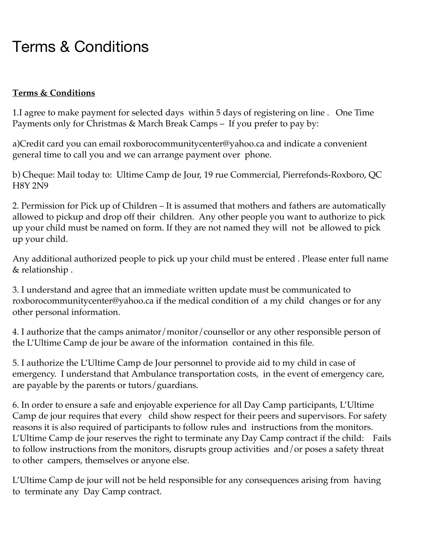## Terms & Conditions

## **Terms & Conditions**

1.I agree to make payment for selected days within 5 days of registering on line . One Time Payments only for Christmas & March Break Camps – If you prefer to pay by:

a)Credit card you can email roxborocommunitycenter@yahoo.ca and indicate a convenient general time to call you and we can arrange payment over phone.

b) Cheque: Mail today to: Ultime Camp de Jour, 19 rue Commercial, Pierrefonds-Roxboro, QC H8Y 2N9

2. Permission for Pick up of Children – It is assumed that mothers and fathers are automatically allowed to pickup and drop off their children. Any other people you want to authorize to pick up your child must be named on form. If they are not named they will not be allowed to pick up your child.

Any additional authorized people to pick up your child must be entered . Please enter full name & relationship .

3. I understand and agree that an immediate written update must be communicated to roxborocommunitycenter@yahoo.ca if the medical condition of a my child changes or for any other personal information.

4. I authorize that the camps animator/monitor/counsellor or any other responsible person of the L'Ultime Camp de jour be aware of the information contained in this file.

5. I authorize the L'Ultime Camp de Jour personnel to provide aid to my child in case of emergency. I understand that Ambulance transportation costs, in the event of emergency care, are payable by the parents or tutors/guardians.

6. In order to ensure a safe and enjoyable experience for all Day Camp participants, L'Ultime Camp de jour requires that every child show respect for their peers and supervisors. For safety reasons it is also required of participants to follow rules and instructions from the monitors. L'Ultime Camp de jour reserves the right to terminate any Day Camp contract if the child: Fails to follow instructions from the monitors, disrupts group activities and/or poses a safety threat to other campers, themselves or anyone else.

L'Ultime Camp de jour will not be held responsible for any consequences arising from having to terminate any Day Camp contract.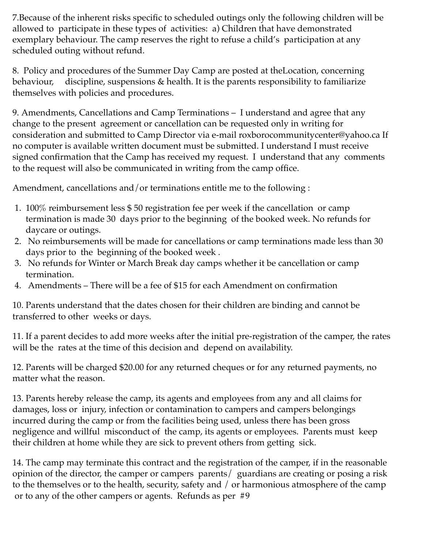7.Because of the inherent risks specific to scheduled outings only the following children will be allowed to participate in these types of activities: a) Children that have demonstrated exemplary behaviour. The camp reserves the right to refuse a child's participation at any scheduled outing without refund.

8. Policy and procedures of the Summer Day Camp are posted at theLocation, concerning behaviour, discipline, suspensions & health. It is the parents responsibility to familiarize themselves with policies and procedures.

9. Amendments, Cancellations and Camp Terminations – I understand and agree that any change to the present agreement or cancellation can be requested only in writing for consideration and submitted to Camp Director via e-mail roxborocommunitycenter@yahoo.ca If no computer is available written document must be submitted. I understand I must receive signed confirmation that the Camp has received my request. I understand that any comments to the request will also be communicated in writing from the camp office.

Amendment, cancellations and/or terminations entitle me to the following :

- 1. 100% reimbursement less \$ 50 registration fee per week if the cancellation or camp termination is made 30 days prior to the beginning of the booked week. No refunds for daycare or outings.
- 2. No reimbursements will be made for cancellations or camp terminations made less than 30 days prior to the beginning of the booked week .
- 3. No refunds for Winter or March Break day camps whether it be cancellation or camp termination.
- 4. Amendments There will be a fee of \$15 for each Amendment on confirmation

10. Parents understand that the dates chosen for their children are binding and cannot be transferred to other weeks or days.

11. If a parent decides to add more weeks after the initial pre-registration of the camper, the rates will be the rates at the time of this decision and depend on availability.

12. Parents will be charged \$20.00 for any returned cheques or for any returned payments, no matter what the reason.

13. Parents hereby release the camp, its agents and employees from any and all claims for damages, loss or injury, infection or contamination to campers and campers belongings incurred during the camp or from the facilities being used, unless there has been gross negligence and willful misconduct of the camp, its agents or employees. Parents must keep their children at home while they are sick to prevent others from getting sick.

14. The camp may terminate this contract and the registration of the camper, if in the reasonable opinion of the director, the camper or campers parents/ guardians are creating or posing a risk to the themselves or to the health, security, safety and / or harmonious atmosphere of the camp or to any of the other campers or agents. Refunds as per #9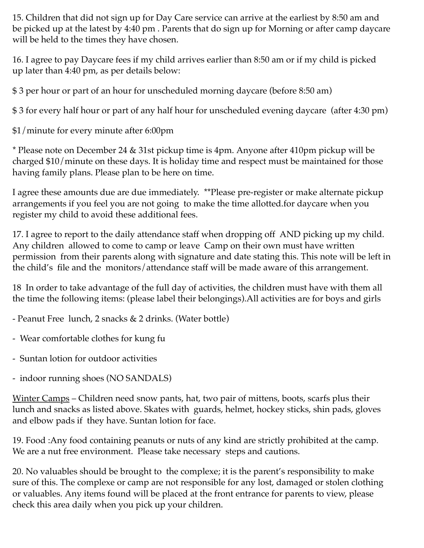15. Children that did not sign up for Day Care service can arrive at the earliest by 8:50 am and be picked up at the latest by 4:40 pm . Parents that do sign up for Morning or after camp daycare will be held to the times they have chosen.

16. I agree to pay Daycare fees if my child arrives earlier than 8:50 am or if my child is picked up later than 4:40 pm, as per details below:

\$ 3 per hour or part of an hour for unscheduled morning daycare (before 8:50 am)

\$ 3 for every half hour or part of any half hour for unscheduled evening daycare (after 4:30 pm)

\$1/minute for every minute after 6:00pm

\* Please note on December 24 & 31st pickup time is 4pm. Anyone after 410pm pickup will be charged \$10/minute on these days. It is holiday time and respect must be maintained for those having family plans. Please plan to be here on time.

I agree these amounts due are due immediately. \*\*Please pre-register or make alternate pickup arrangements if you feel you are not going to make the time allotted.for daycare when you register my child to avoid these additional fees.

17. I agree to report to the daily attendance staff when dropping off AND picking up my child. Any children allowed to come to camp or leave Camp on their own must have written permission from their parents along with signature and date stating this. This note will be left in the child's file and the monitors/attendance staff will be made aware of this arrangement.

18 In order to take advantage of the full day of activities, the children must have with them all the time the following items: (please label their belongings).All activities are for boys and girls

- Peanut Free lunch, 2 snacks & 2 drinks. (Water bottle)
- Wear comfortable clothes for kung fu
- Suntan lotion for outdoor activities
- indoor running shoes (NO SANDALS)

Winter Camps – Children need snow pants, hat, two pair of mittens, boots, scarfs plus their lunch and snacks as listed above. Skates with guards, helmet, hockey sticks, shin pads, gloves and elbow pads if they have. Suntan lotion for face.

19. Food :Any food containing peanuts or nuts of any kind are strictly prohibited at the camp. We are a nut free environment. Please take necessary steps and cautions.

20. No valuables should be brought to the complexe; it is the parent's responsibility to make sure of this. The complexe or camp are not responsible for any lost, damaged or stolen clothing or valuables. Any items found will be placed at the front entrance for parents to view, please check this area daily when you pick up your children.